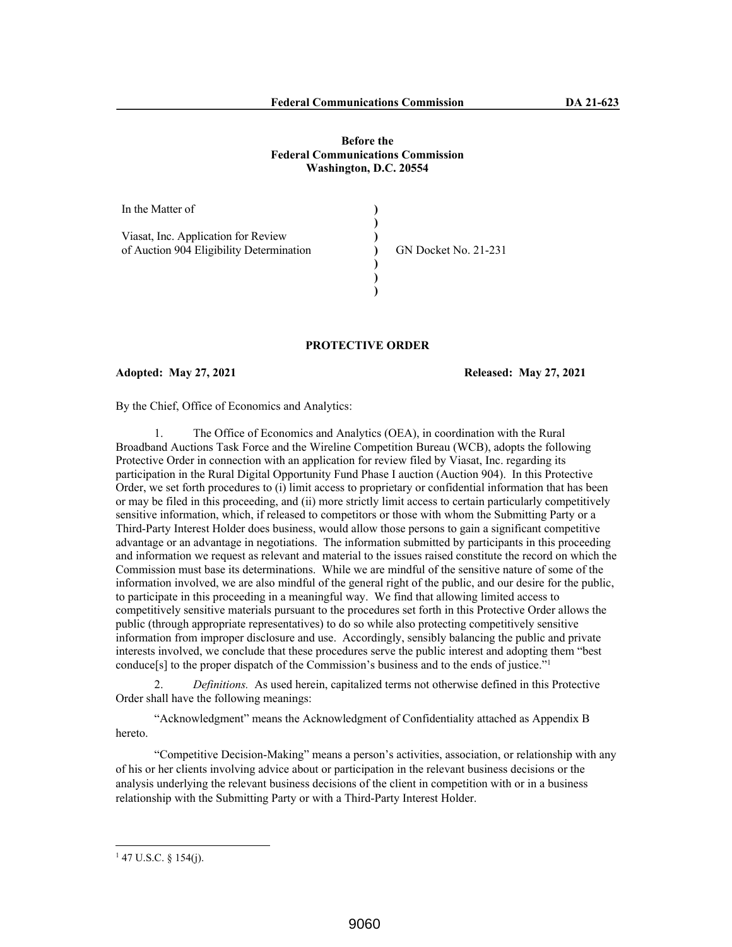## **Before the Federal Communications Commission Washington, D.C. 20554**

| In the Matter of                                                                |                             |
|---------------------------------------------------------------------------------|-----------------------------|
| Viasat, Inc. Application for Review<br>of Auction 904 Eligibility Determination | <b>GN Docket No. 21-231</b> |

# **PROTECTIVE ORDER**

**Adopted: May 27, 2021 Released: May 27, 2021**

By the Chief, Office of Economics and Analytics:

1. The Office of Economics and Analytics (OEA), in coordination with the Rural Broadband Auctions Task Force and the Wireline Competition Bureau (WCB), adopts the following Protective Order in connection with an application for review filed by Viasat, Inc. regarding its participation in the Rural Digital Opportunity Fund Phase I auction (Auction 904). In this Protective Order, we set forth procedures to (i) limit access to proprietary or confidential information that has been or may be filed in this proceeding, and (ii) more strictly limit access to certain particularly competitively sensitive information, which, if released to competitors or those with whom the Submitting Party or a Third-Party Interest Holder does business, would allow those persons to gain a significant competitive advantage or an advantage in negotiations. The information submitted by participants in this proceeding and information we request as relevant and material to the issues raised constitute the record on which the Commission must base its determinations. While we are mindful of the sensitive nature of some of the information involved, we are also mindful of the general right of the public, and our desire for the public, to participate in this proceeding in a meaningful way. We find that allowing limited access to competitively sensitive materials pursuant to the procedures set forth in this Protective Order allows the public (through appropriate representatives) to do so while also protecting competitively sensitive information from improper disclosure and use. Accordingly, sensibly balancing the public and private interests involved, we conclude that these procedures serve the public interest and adopting them "best conduce[s] to the proper dispatch of the Commission's business and to the ends of justice."<sup>1</sup>

2. *Definitions.* As used herein, capitalized terms not otherwise defined in this Protective Order shall have the following meanings:

"Acknowledgment" means the Acknowledgment of Confidentiality attached as Appendix B hereto.

"Competitive Decision-Making" means a person's activities, association, or relationship with any of his or her clients involving advice about or participation in the relevant business decisions or the analysis underlying the relevant business decisions of the client in competition with or in a business relationship with the Submitting Party or with a Third-Party Interest Holder.

 $147$  U.S.C. § 154(j).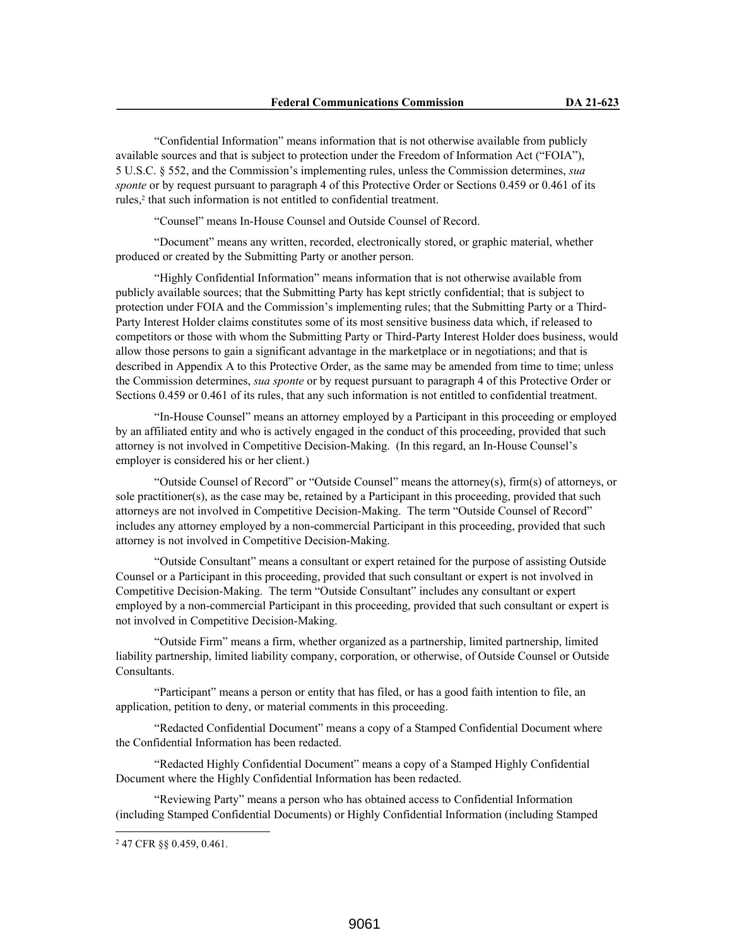"Confidential Information" means information that is not otherwise available from publicly available sources and that is subject to protection under the Freedom of Information Act ("FOIA"), 5 U.S.C. § 552, and the Commission's implementing rules, unless the Commission determines, *sua sponte* or by request pursuant to paragraph 4 of this Protective Order or Sections 0.459 or 0.461 of its rules,<sup>2</sup> that such information is not entitled to confidential treatment.

"Counsel" means In-House Counsel and Outside Counsel of Record.

"Document" means any written, recorded, electronically stored, or graphic material, whether produced or created by the Submitting Party or another person.

"Highly Confidential Information" means information that is not otherwise available from publicly available sources; that the Submitting Party has kept strictly confidential; that is subject to protection under FOIA and the Commission's implementing rules; that the Submitting Party or a Third-Party Interest Holder claims constitutes some of its most sensitive business data which, if released to competitors or those with whom the Submitting Party or Third-Party Interest Holder does business, would allow those persons to gain a significant advantage in the marketplace or in negotiations; and that is described in Appendix A to this Protective Order, as the same may be amended from time to time; unless the Commission determines, *sua sponte* or by request pursuant to paragraph 4 of this Protective Order or Sections 0.459 or 0.461 of its rules, that any such information is not entitled to confidential treatment.

"In-House Counsel" means an attorney employed by a Participant in this proceeding or employed by an affiliated entity and who is actively engaged in the conduct of this proceeding, provided that such attorney is not involved in Competitive Decision-Making. (In this regard, an In-House Counsel's employer is considered his or her client.)

"Outside Counsel of Record" or "Outside Counsel" means the attorney(s), firm(s) of attorneys, or sole practitioner(s), as the case may be, retained by a Participant in this proceeding, provided that such attorneys are not involved in Competitive Decision-Making. The term "Outside Counsel of Record" includes any attorney employed by a non-commercial Participant in this proceeding, provided that such attorney is not involved in Competitive Decision-Making.

"Outside Consultant" means a consultant or expert retained for the purpose of assisting Outside Counsel or a Participant in this proceeding, provided that such consultant or expert is not involved in Competitive Decision-Making. The term "Outside Consultant" includes any consultant or expert employed by a non-commercial Participant in this proceeding, provided that such consultant or expert is not involved in Competitive Decision-Making.

"Outside Firm" means a firm, whether organized as a partnership, limited partnership, limited liability partnership, limited liability company, corporation, or otherwise, of Outside Counsel or Outside Consultants.

"Participant" means a person or entity that has filed, or has a good faith intention to file, an application, petition to deny, or material comments in this proceeding.

"Redacted Confidential Document" means a copy of a Stamped Confidential Document where the Confidential Information has been redacted.

"Redacted Highly Confidential Document" means a copy of a Stamped Highly Confidential Document where the Highly Confidential Information has been redacted.

"Reviewing Party" means a person who has obtained access to Confidential Information (including Stamped Confidential Documents) or Highly Confidential Information (including Stamped

<sup>2</sup> 47 CFR §§ 0.459, 0.461.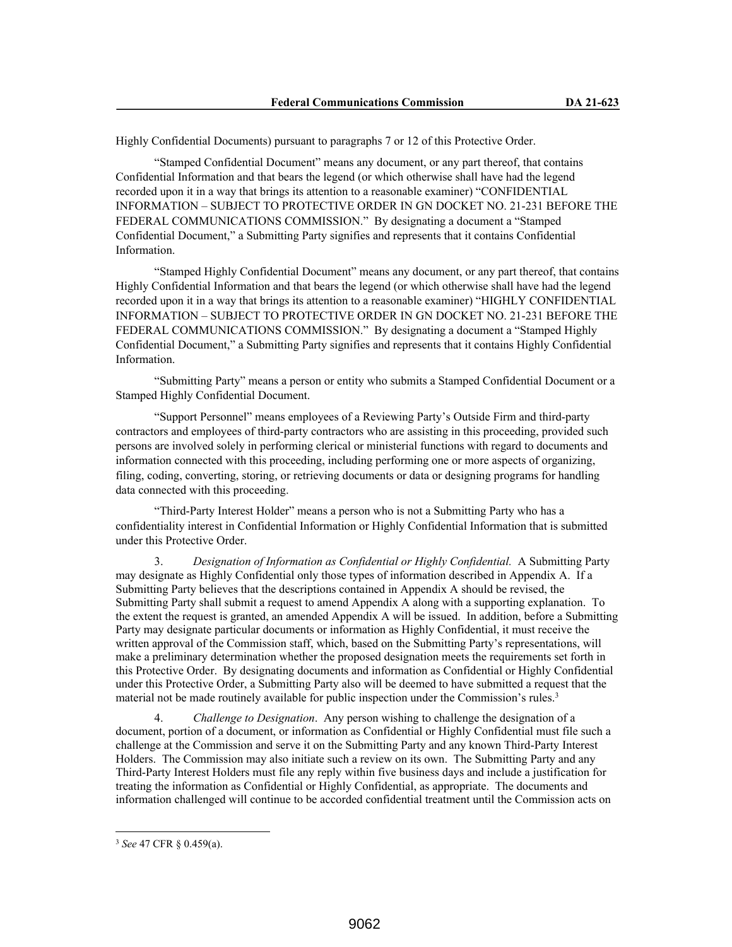Highly Confidential Documents) pursuant to paragraphs 7 or 12 of this Protective Order.

"Stamped Confidential Document" means any document, or any part thereof, that contains Confidential Information and that bears the legend (or which otherwise shall have had the legend recorded upon it in a way that brings its attention to a reasonable examiner) "CONFIDENTIAL INFORMATION – SUBJECT TO PROTECTIVE ORDER IN GN DOCKET NO. 21-231 BEFORE THE FEDERAL COMMUNICATIONS COMMISSION." By designating a document a "Stamped Confidential Document," a Submitting Party signifies and represents that it contains Confidential Information.

"Stamped Highly Confidential Document" means any document, or any part thereof, that contains Highly Confidential Information and that bears the legend (or which otherwise shall have had the legend recorded upon it in a way that brings its attention to a reasonable examiner) "HIGHLY CONFIDENTIAL INFORMATION – SUBJECT TO PROTECTIVE ORDER IN GN DOCKET NO. 21-231 BEFORE THE FEDERAL COMMUNICATIONS COMMISSION." By designating a document a "Stamped Highly Confidential Document," a Submitting Party signifies and represents that it contains Highly Confidential Information.

"Submitting Party" means a person or entity who submits a Stamped Confidential Document or a Stamped Highly Confidential Document.

"Support Personnel" means employees of a Reviewing Party's Outside Firm and third-party contractors and employees of third-party contractors who are assisting in this proceeding, provided such persons are involved solely in performing clerical or ministerial functions with regard to documents and information connected with this proceeding, including performing one or more aspects of organizing, filing, coding, converting, storing, or retrieving documents or data or designing programs for handling data connected with this proceeding.

"Third-Party Interest Holder" means a person who is not a Submitting Party who has a confidentiality interest in Confidential Information or Highly Confidential Information that is submitted under this Protective Order.

3. *Designation of Information as Confidential or Highly Confidential.* A Submitting Party may designate as Highly Confidential only those types of information described in Appendix A. If a Submitting Party believes that the descriptions contained in Appendix A should be revised, the Submitting Party shall submit a request to amend Appendix A along with a supporting explanation. To the extent the request is granted, an amended Appendix A will be issued. In addition, before a Submitting Party may designate particular documents or information as Highly Confidential, it must receive the written approval of the Commission staff, which, based on the Submitting Party's representations, will make a preliminary determination whether the proposed designation meets the requirements set forth in this Protective Order. By designating documents and information as Confidential or Highly Confidential under this Protective Order, a Submitting Party also will be deemed to have submitted a request that the material not be made routinely available for public inspection under the Commission's rules.<sup>3</sup>

4. *Challenge to Designation*. Any person wishing to challenge the designation of a document, portion of a document, or information as Confidential or Highly Confidential must file such a challenge at the Commission and serve it on the Submitting Party and any known Third-Party Interest Holders. The Commission may also initiate such a review on its own. The Submitting Party and any Third-Party Interest Holders must file any reply within five business days and include a justification for treating the information as Confidential or Highly Confidential, as appropriate. The documents and information challenged will continue to be accorded confidential treatment until the Commission acts on

<sup>3</sup> *See* 47 CFR § 0.459(a).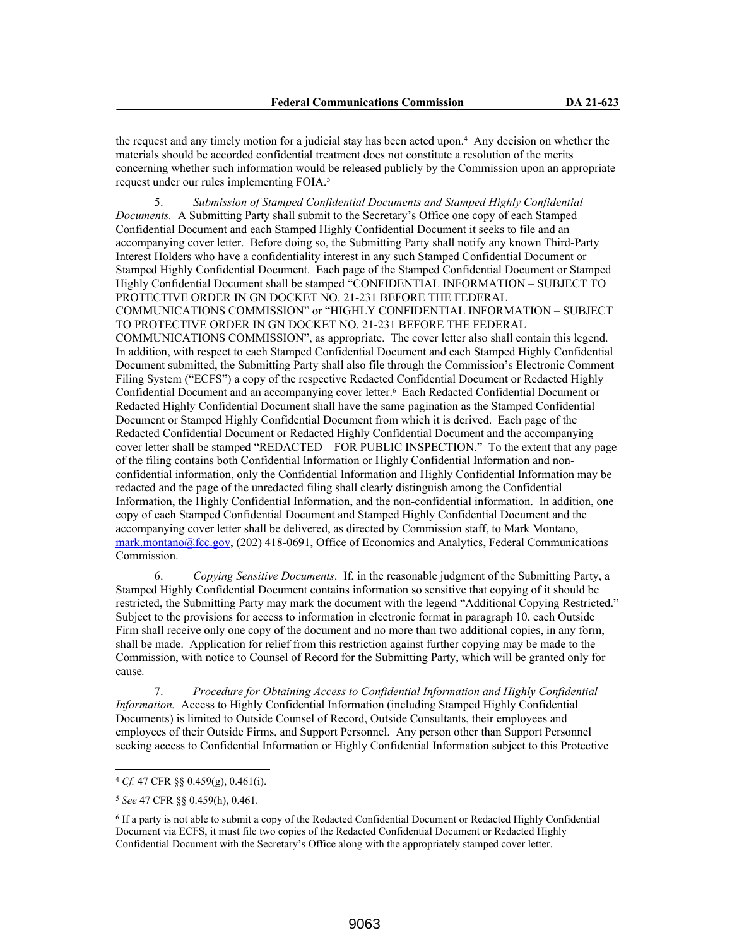the request and any timely motion for a judicial stay has been acted upon.<sup>4</sup> Any decision on whether the materials should be accorded confidential treatment does not constitute a resolution of the merits concerning whether such information would be released publicly by the Commission upon an appropriate request under our rules implementing FOIA.<sup>5</sup>

5. *Submission of Stamped Confidential Documents and Stamped Highly Confidential Documents.* A Submitting Party shall submit to the Secretary's Office one copy of each Stamped Confidential Document and each Stamped Highly Confidential Document it seeks to file and an accompanying cover letter. Before doing so, the Submitting Party shall notify any known Third-Party Interest Holders who have a confidentiality interest in any such Stamped Confidential Document or Stamped Highly Confidential Document. Each page of the Stamped Confidential Document or Stamped Highly Confidential Document shall be stamped "CONFIDENTIAL INFORMATION – SUBJECT TO PROTECTIVE ORDER IN GN DOCKET NO. 21-231 BEFORE THE FEDERAL COMMUNICATIONS COMMISSION" or "HIGHLY CONFIDENTIAL INFORMATION – SUBJECT TO PROTECTIVE ORDER IN GN DOCKET NO. 21-231 BEFORE THE FEDERAL COMMUNICATIONS COMMISSION", as appropriate. The cover letter also shall contain this legend. In addition, with respect to each Stamped Confidential Document and each Stamped Highly Confidential Document submitted, the Submitting Party shall also file through the Commission's Electronic Comment Filing System ("ECFS") a copy of the respective Redacted Confidential Document or Redacted Highly Confidential Document and an accompanying cover letter.<sup>6</sup> Each Redacted Confidential Document or Redacted Highly Confidential Document shall have the same pagination as the Stamped Confidential Document or Stamped Highly Confidential Document from which it is derived. Each page of the Redacted Confidential Document or Redacted Highly Confidential Document and the accompanying cover letter shall be stamped "REDACTED – FOR PUBLIC INSPECTION." To the extent that any page of the filing contains both Confidential Information or Highly Confidential Information and nonconfidential information, only the Confidential Information and Highly Confidential Information may be redacted and the page of the unredacted filing shall clearly distinguish among the Confidential Information, the Highly Confidential Information, and the non-confidential information. In addition, one copy of each Stamped Confidential Document and Stamped Highly Confidential Document and the accompanying cover letter shall be delivered, as directed by Commission staff, to Mark Montano, mark.montano@fcc.gov, (202) 418-0691, Office of Economics and Analytics, Federal Communications Commission.

6. *Copying Sensitive Documents*. If, in the reasonable judgment of the Submitting Party, a Stamped Highly Confidential Document contains information so sensitive that copying of it should be restricted, the Submitting Party may mark the document with the legend "Additional Copying Restricted." Subject to the provisions for access to information in electronic format in paragraph 10, each Outside Firm shall receive only one copy of the document and no more than two additional copies, in any form, shall be made. Application for relief from this restriction against further copying may be made to the Commission, with notice to Counsel of Record for the Submitting Party, which will be granted only for cause*.*

7. *Procedure for Obtaining Access to Confidential Information and Highly Confidential Information.* Access to Highly Confidential Information (including Stamped Highly Confidential Documents) is limited to Outside Counsel of Record, Outside Consultants, their employees and employees of their Outside Firms, and Support Personnel. Any person other than Support Personnel seeking access to Confidential Information or Highly Confidential Information subject to this Protective

<sup>4</sup> *Cf.* 47 CFR §§ 0.459(g), 0.461(i).

<sup>5</sup> *See* 47 CFR §§ 0.459(h), 0.461.

<sup>6</sup> If a party is not able to submit a copy of the Redacted Confidential Document or Redacted Highly Confidential Document via ECFS, it must file two copies of the Redacted Confidential Document or Redacted Highly Confidential Document with the Secretary's Office along with the appropriately stamped cover letter.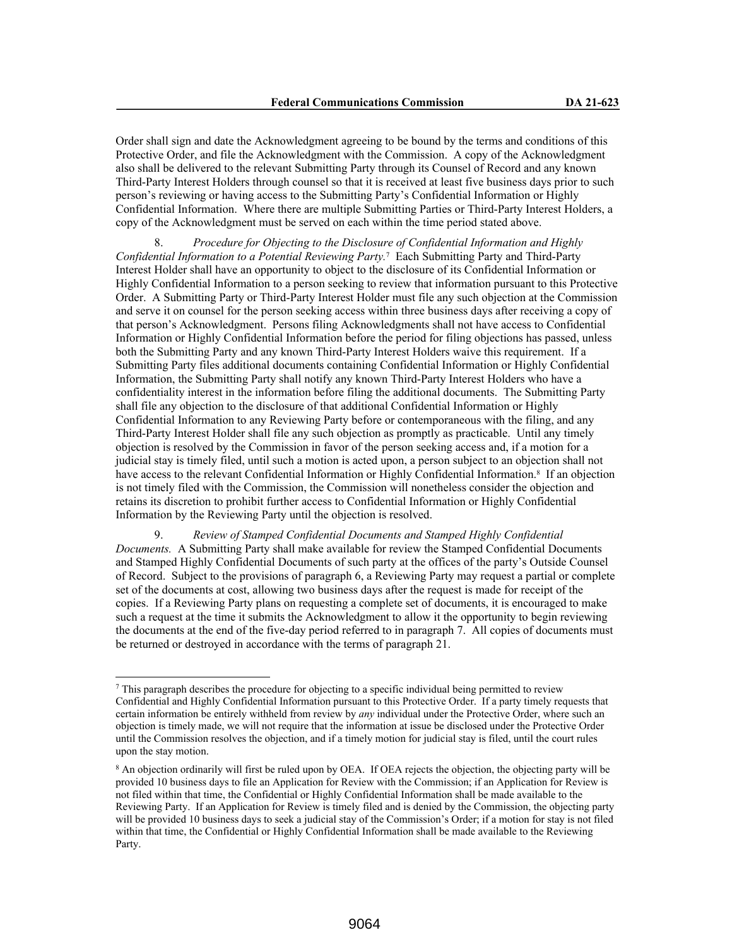Order shall sign and date the Acknowledgment agreeing to be bound by the terms and conditions of this Protective Order, and file the Acknowledgment with the Commission. A copy of the Acknowledgment also shall be delivered to the relevant Submitting Party through its Counsel of Record and any known Third-Party Interest Holders through counsel so that it is received at least five business days prior to such person's reviewing or having access to the Submitting Party's Confidential Information or Highly Confidential Information. Where there are multiple Submitting Parties or Third-Party Interest Holders, a copy of the Acknowledgment must be served on each within the time period stated above.

8. *Procedure for Objecting to the Disclosure of Confidential Information and Highly*  Confidential Information to a Potential Reviewing Party.<sup>7</sup> Each Submitting Party and Third-Party Interest Holder shall have an opportunity to object to the disclosure of its Confidential Information or Highly Confidential Information to a person seeking to review that information pursuant to this Protective Order. A Submitting Party or Third-Party Interest Holder must file any such objection at the Commission and serve it on counsel for the person seeking access within three business days after receiving a copy of that person's Acknowledgment. Persons filing Acknowledgments shall not have access to Confidential Information or Highly Confidential Information before the period for filing objections has passed, unless both the Submitting Party and any known Third-Party Interest Holders waive this requirement. If a Submitting Party files additional documents containing Confidential Information or Highly Confidential Information, the Submitting Party shall notify any known Third-Party Interest Holders who have a confidentiality interest in the information before filing the additional documents. The Submitting Party shall file any objection to the disclosure of that additional Confidential Information or Highly Confidential Information to any Reviewing Party before or contemporaneous with the filing, and any Third-Party Interest Holder shall file any such objection as promptly as practicable. Until any timely objection is resolved by the Commission in favor of the person seeking access and, if a motion for a judicial stay is timely filed, until such a motion is acted upon, a person subject to an objection shall not have access to the relevant Confidential Information or Highly Confidential Information.<sup>8</sup> If an objection is not timely filed with the Commission, the Commission will nonetheless consider the objection and retains its discretion to prohibit further access to Confidential Information or Highly Confidential Information by the Reviewing Party until the objection is resolved.

9. *Review of Stamped Confidential Documents and Stamped Highly Confidential Documents.* A Submitting Party shall make available for review the Stamped Confidential Documents and Stamped Highly Confidential Documents of such party at the offices of the party's Outside Counsel of Record. Subject to the provisions of paragraph 6, a Reviewing Party may request a partial or complete set of the documents at cost, allowing two business days after the request is made for receipt of the copies. If a Reviewing Party plans on requesting a complete set of documents, it is encouraged to make such a request at the time it submits the Acknowledgment to allow it the opportunity to begin reviewing the documents at the end of the five-day period referred to in paragraph 7. All copies of documents must be returned or destroyed in accordance with the terms of paragraph 21.

 $\sigma$  This paragraph describes the procedure for objecting to a specific individual being permitted to review Confidential and Highly Confidential Information pursuant to this Protective Order. If a party timely requests that certain information be entirely withheld from review by *any* individual under the Protective Order, where such an objection is timely made, we will not require that the information at issue be disclosed under the Protective Order until the Commission resolves the objection, and if a timely motion for judicial stay is filed, until the court rules upon the stay motion.

<sup>8</sup> An objection ordinarily will first be ruled upon by OEA. If OEA rejects the objection, the objecting party will be provided 10 business days to file an Application for Review with the Commission; if an Application for Review is not filed within that time, the Confidential or Highly Confidential Information shall be made available to the Reviewing Party. If an Application for Review is timely filed and is denied by the Commission, the objecting party will be provided 10 business days to seek a judicial stay of the Commission's Order; if a motion for stay is not filed within that time, the Confidential or Highly Confidential Information shall be made available to the Reviewing Party.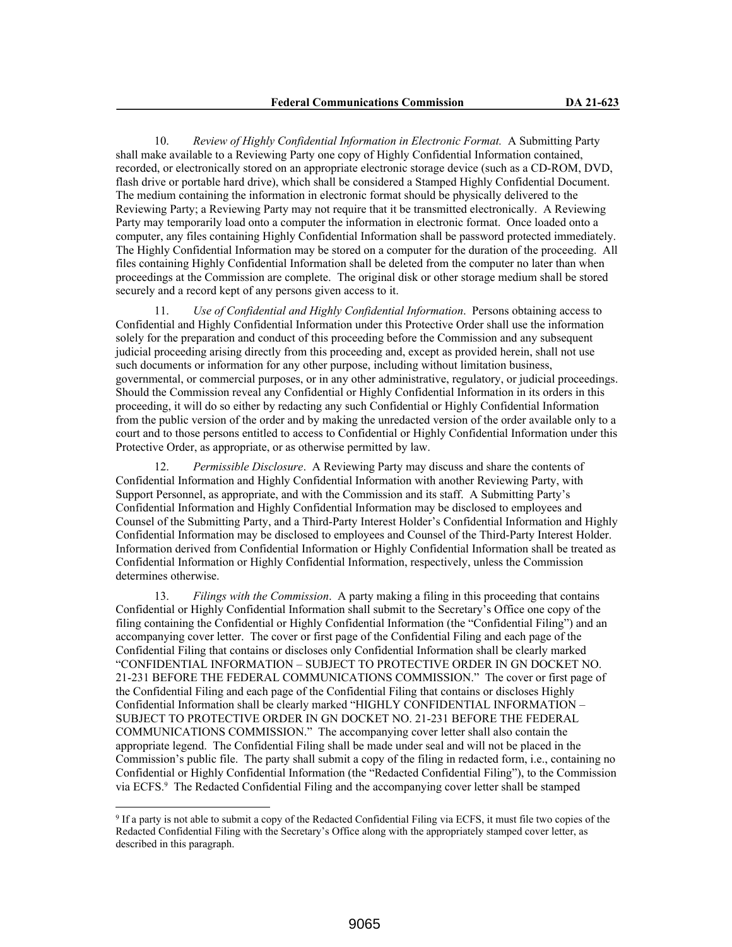10. *Review of Highly Confidential Information in Electronic Format.* A Submitting Party shall make available to a Reviewing Party one copy of Highly Confidential Information contained, recorded, or electronically stored on an appropriate electronic storage device (such as a CD-ROM, DVD, flash drive or portable hard drive), which shall be considered a Stamped Highly Confidential Document. The medium containing the information in electronic format should be physically delivered to the Reviewing Party; a Reviewing Party may not require that it be transmitted electronically. A Reviewing Party may temporarily load onto a computer the information in electronic format. Once loaded onto a computer, any files containing Highly Confidential Information shall be password protected immediately. The Highly Confidential Information may be stored on a computer for the duration of the proceeding. All files containing Highly Confidential Information shall be deleted from the computer no later than when proceedings at the Commission are complete. The original disk or other storage medium shall be stored securely and a record kept of any persons given access to it.

11. *Use of Confidential and Highly Confidential Information*. Persons obtaining access to Confidential and Highly Confidential Information under this Protective Order shall use the information solely for the preparation and conduct of this proceeding before the Commission and any subsequent judicial proceeding arising directly from this proceeding and, except as provided herein, shall not use such documents or information for any other purpose, including without limitation business, governmental, or commercial purposes, or in any other administrative, regulatory, or judicial proceedings. Should the Commission reveal any Confidential or Highly Confidential Information in its orders in this proceeding, it will do so either by redacting any such Confidential or Highly Confidential Information from the public version of the order and by making the unredacted version of the order available only to a court and to those persons entitled to access to Confidential or Highly Confidential Information under this Protective Order, as appropriate, or as otherwise permitted by law.

12. *Permissible Disclosure*. A Reviewing Party may discuss and share the contents of Confidential Information and Highly Confidential Information with another Reviewing Party, with Support Personnel, as appropriate, and with the Commission and its staff. A Submitting Party's Confidential Information and Highly Confidential Information may be disclosed to employees and Counsel of the Submitting Party, and a Third-Party Interest Holder's Confidential Information and Highly Confidential Information may be disclosed to employees and Counsel of the Third-Party Interest Holder. Information derived from Confidential Information or Highly Confidential Information shall be treated as Confidential Information or Highly Confidential Information, respectively, unless the Commission determines otherwise.

13. *Filings with the Commission*. A party making a filing in this proceeding that contains Confidential or Highly Confidential Information shall submit to the Secretary's Office one copy of the filing containing the Confidential or Highly Confidential Information (the "Confidential Filing") and an accompanying cover letter. The cover or first page of the Confidential Filing and each page of the Confidential Filing that contains or discloses only Confidential Information shall be clearly marked "CONFIDENTIAL INFORMATION – SUBJECT TO PROTECTIVE ORDER IN GN DOCKET NO. 21-231 BEFORE THE FEDERAL COMMUNICATIONS COMMISSION." The cover or first page of the Confidential Filing and each page of the Confidential Filing that contains or discloses Highly Confidential Information shall be clearly marked "HIGHLY CONFIDENTIAL INFORMATION – SUBJECT TO PROTECTIVE ORDER IN GN DOCKET NO. 21-231 BEFORE THE FEDERAL COMMUNICATIONS COMMISSION." The accompanying cover letter shall also contain the appropriate legend. The Confidential Filing shall be made under seal and will not be placed in the Commission's public file. The party shall submit a copy of the filing in redacted form, i.e., containing no Confidential or Highly Confidential Information (the "Redacted Confidential Filing"), to the Commission via ECFS.<sup>9</sup> The Redacted Confidential Filing and the accompanying cover letter shall be stamped

<sup>9</sup> If a party is not able to submit a copy of the Redacted Confidential Filing via ECFS, it must file two copies of the Redacted Confidential Filing with the Secretary's Office along with the appropriately stamped cover letter, as described in this paragraph.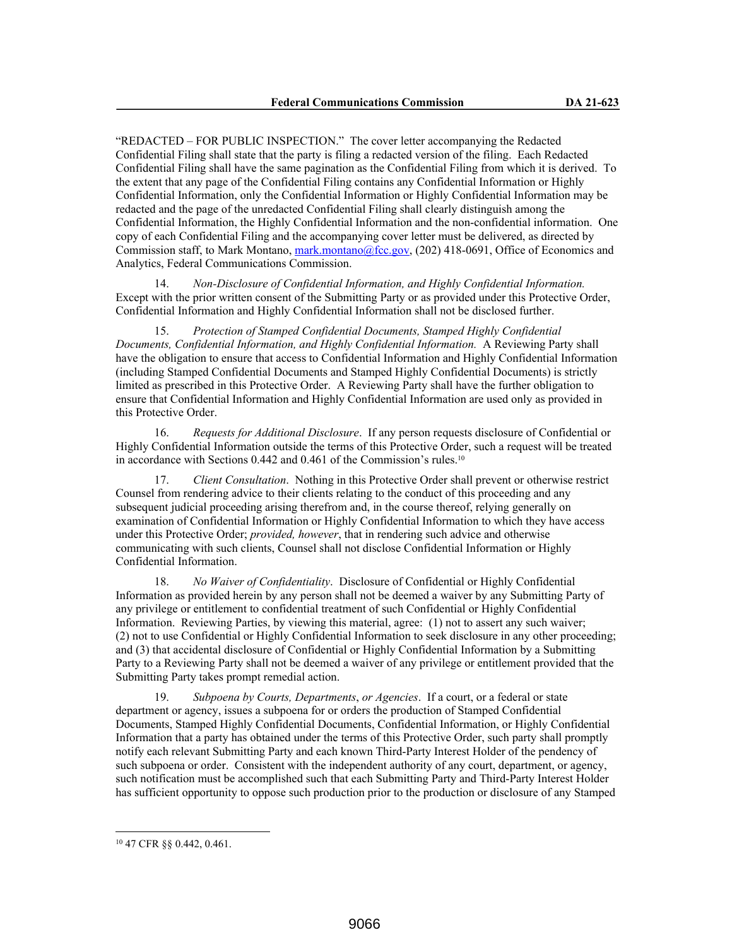"REDACTED – FOR PUBLIC INSPECTION." The cover letter accompanying the Redacted Confidential Filing shall state that the party is filing a redacted version of the filing. Each Redacted Confidential Filing shall have the same pagination as the Confidential Filing from which it is derived. To the extent that any page of the Confidential Filing contains any Confidential Information or Highly Confidential Information, only the Confidential Information or Highly Confidential Information may be redacted and the page of the unredacted Confidential Filing shall clearly distinguish among the Confidential Information, the Highly Confidential Information and the non-confidential information. One copy of each Confidential Filing and the accompanying cover letter must be delivered, as directed by Commission staff, to Mark Montano, mark.montano@fcc.gov, (202) 418-0691, Office of Economics and Analytics, Federal Communications Commission.

14. *Non-Disclosure of Confidential Information, and Highly Confidential Information.* Except with the prior written consent of the Submitting Party or as provided under this Protective Order, Confidential Information and Highly Confidential Information shall not be disclosed further.

15. *Protection of Stamped Confidential Documents, Stamped Highly Confidential Documents, Confidential Information, and Highly Confidential Information.* A Reviewing Party shall have the obligation to ensure that access to Confidential Information and Highly Confidential Information (including Stamped Confidential Documents and Stamped Highly Confidential Documents) is strictly limited as prescribed in this Protective Order. A Reviewing Party shall have the further obligation to ensure that Confidential Information and Highly Confidential Information are used only as provided in this Protective Order.

16. *Requests for Additional Disclosure*. If any person requests disclosure of Confidential or Highly Confidential Information outside the terms of this Protective Order, such a request will be treated in accordance with Sections 0.442 and 0.461 of the Commission's rules.<sup>10</sup>

17. *Client Consultation*. Nothing in this Protective Order shall prevent or otherwise restrict Counsel from rendering advice to their clients relating to the conduct of this proceeding and any subsequent judicial proceeding arising therefrom and, in the course thereof, relying generally on examination of Confidential Information or Highly Confidential Information to which they have access under this Protective Order; *provided, however*, that in rendering such advice and otherwise communicating with such clients, Counsel shall not disclose Confidential Information or Highly Confidential Information.

18. *No Waiver of Confidentiality*. Disclosure of Confidential or Highly Confidential Information as provided herein by any person shall not be deemed a waiver by any Submitting Party of any privilege or entitlement to confidential treatment of such Confidential or Highly Confidential Information. Reviewing Parties, by viewing this material, agree: (1) not to assert any such waiver; (2) not to use Confidential or Highly Confidential Information to seek disclosure in any other proceeding; and (3) that accidental disclosure of Confidential or Highly Confidential Information by a Submitting Party to a Reviewing Party shall not be deemed a waiver of any privilege or entitlement provided that the Submitting Party takes prompt remedial action.

19. *Subpoena by Courts, Departments*, *or Agencies*. If a court, or a federal or state department or agency, issues a subpoena for or orders the production of Stamped Confidential Documents, Stamped Highly Confidential Documents, Confidential Information, or Highly Confidential Information that a party has obtained under the terms of this Protective Order, such party shall promptly notify each relevant Submitting Party and each known Third-Party Interest Holder of the pendency of such subpoena or order. Consistent with the independent authority of any court, department, or agency, such notification must be accomplished such that each Submitting Party and Third-Party Interest Holder has sufficient opportunity to oppose such production prior to the production or disclosure of any Stamped

<sup>10</sup> 47 CFR §§ 0.442, 0.461.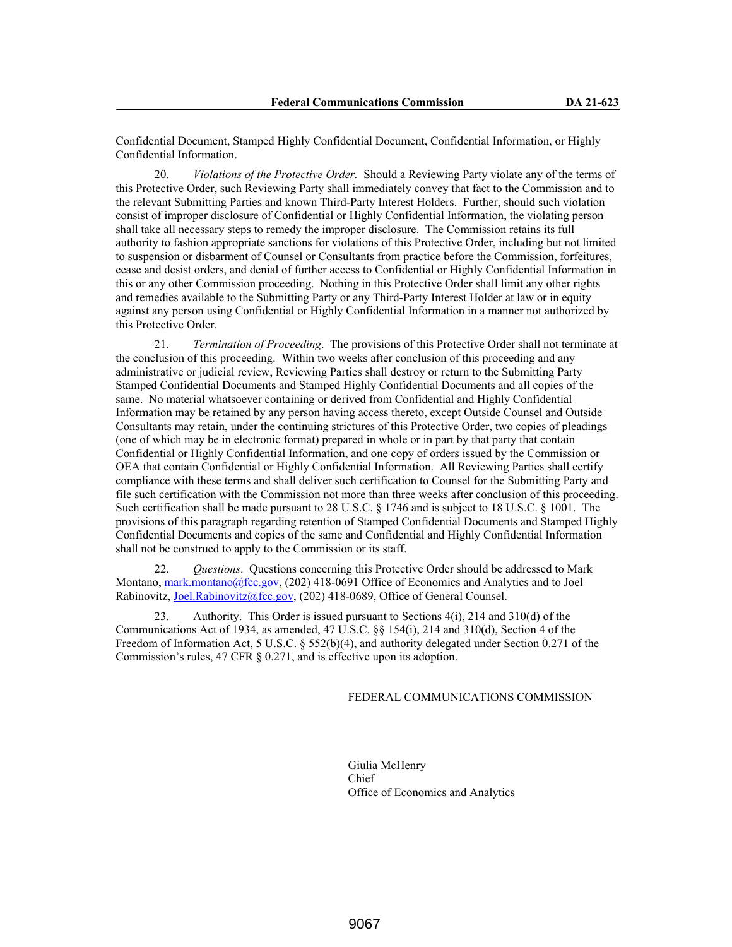Confidential Document, Stamped Highly Confidential Document, Confidential Information, or Highly Confidential Information.

20. *Violations of the Protective Order.* Should a Reviewing Party violate any of the terms of this Protective Order, such Reviewing Party shall immediately convey that fact to the Commission and to the relevant Submitting Parties and known Third-Party Interest Holders. Further, should such violation consist of improper disclosure of Confidential or Highly Confidential Information, the violating person shall take all necessary steps to remedy the improper disclosure. The Commission retains its full authority to fashion appropriate sanctions for violations of this Protective Order, including but not limited to suspension or disbarment of Counsel or Consultants from practice before the Commission, forfeitures, cease and desist orders, and denial of further access to Confidential or Highly Confidential Information in this or any other Commission proceeding. Nothing in this Protective Order shall limit any other rights and remedies available to the Submitting Party or any Third-Party Interest Holder at law or in equity against any person using Confidential or Highly Confidential Information in a manner not authorized by this Protective Order.

21. *Termination of Proceeding*. The provisions of this Protective Order shall not terminate at the conclusion of this proceeding. Within two weeks after conclusion of this proceeding and any administrative or judicial review, Reviewing Parties shall destroy or return to the Submitting Party Stamped Confidential Documents and Stamped Highly Confidential Documents and all copies of the same. No material whatsoever containing or derived from Confidential and Highly Confidential Information may be retained by any person having access thereto, except Outside Counsel and Outside Consultants may retain, under the continuing strictures of this Protective Order, two copies of pleadings (one of which may be in electronic format) prepared in whole or in part by that party that contain Confidential or Highly Confidential Information, and one copy of orders issued by the Commission or OEA that contain Confidential or Highly Confidential Information. All Reviewing Parties shall certify compliance with these terms and shall deliver such certification to Counsel for the Submitting Party and file such certification with the Commission not more than three weeks after conclusion of this proceeding. Such certification shall be made pursuant to 28 U.S.C. § 1746 and is subject to 18 U.S.C. § 1001. The provisions of this paragraph regarding retention of Stamped Confidential Documents and Stamped Highly Confidential Documents and copies of the same and Confidential and Highly Confidential Information shall not be construed to apply to the Commission or its staff.

22. *Questions*. Questions concerning this Protective Order should be addressed to Mark Montano, mark.montano@fcc.gov, (202) 418-0691 Office of Economics and Analytics and to Joel Rabinovitz, Joel.Rabinovitz@fcc.gov, (202) 418-0689, Office of General Counsel.

23. Authority. This Order is issued pursuant to Sections 4(i), 214 and 310(d) of the Communications Act of 1934, as amended, 47 U.S.C. §§ 154(i), 214 and 310(d), Section 4 of the Freedom of Information Act, 5 U.S.C. § 552(b)(4), and authority delegated under Section 0.271 of the Commission's rules, 47 CFR § 0.271, and is effective upon its adoption.

#### FEDERAL COMMUNICATIONS COMMISSION

Giulia McHenry Chief Office of Economics and Analytics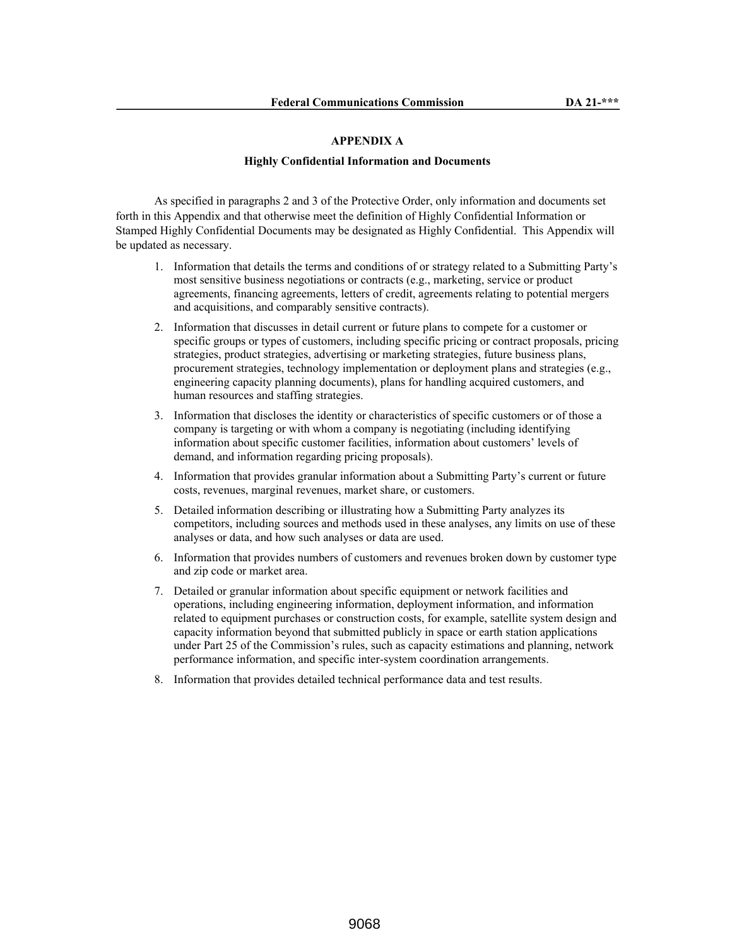### **APPENDIX A**

#### **Highly Confidential Information and Documents**

As specified in paragraphs 2 and 3 of the Protective Order, only information and documents set forth in this Appendix and that otherwise meet the definition of Highly Confidential Information or Stamped Highly Confidential Documents may be designated as Highly Confidential. This Appendix will be updated as necessary.

- 1. Information that details the terms and conditions of or strategy related to a Submitting Party's most sensitive business negotiations or contracts (e.g., marketing, service or product agreements, financing agreements, letters of credit, agreements relating to potential mergers and acquisitions, and comparably sensitive contracts).
- 2. Information that discusses in detail current or future plans to compete for a customer or specific groups or types of customers, including specific pricing or contract proposals, pricing strategies, product strategies, advertising or marketing strategies, future business plans, procurement strategies, technology implementation or deployment plans and strategies (e.g., engineering capacity planning documents), plans for handling acquired customers, and human resources and staffing strategies.
- 3. Information that discloses the identity or characteristics of specific customers or of those a company is targeting or with whom a company is negotiating (including identifying information about specific customer facilities, information about customers' levels of demand, and information regarding pricing proposals).
- 4. Information that provides granular information about a Submitting Party's current or future costs, revenues, marginal revenues, market share, or customers.
- 5. Detailed information describing or illustrating how a Submitting Party analyzes its competitors, including sources and methods used in these analyses, any limits on use of these analyses or data, and how such analyses or data are used.
- 6. Information that provides numbers of customers and revenues broken down by customer type and zip code or market area.
- 7. Detailed or granular information about specific equipment or network facilities and operations, including engineering information, deployment information, and information related to equipment purchases or construction costs, for example, satellite system design and capacity information beyond that submitted publicly in space or earth station applications under Part 25 of the Commission's rules, such as capacity estimations and planning, network performance information, and specific inter-system coordination arrangements.
- 8. Information that provides detailed technical performance data and test results.